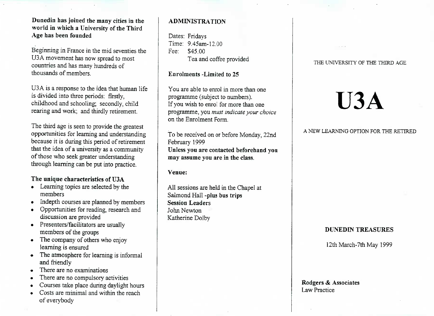# **Dunedin has joined the many cities in the world in which a University of the ThirdAge has been founded**

Beginning in France in the mid seventies the U3A movement has now spread to most U3A movement has now spread to mostcountries and has many hundreds ofthousands of members.

U3A is a response to the idea that human lifeis divided into three periods: firstly,childhood and schooling; secondly, child extending and schooling, secondly, child<br>rearing and work; and thirdly retirement.

The third age is seen to provide the greatest opportunities for learning and understandingbecause it is during this period of retirement because it is during this period of retirementthat the idea of a university as a communityof those who seek greater understanding through learning can be put into practice.

# **The unique characteristics of U3A**

- Learning topics are selected by themembers
- Indepth courses are planned by members
- Opportunities for reading, research and
- discussion are provided<br>Presenters/facilitators are usually members of the groups
- The company of others who enjoy
- Framing is ensured<br>The atmosphere for learning is informal
- and friendly<br>There are no examinations
- There are no compulsory activities
- Courses take place during daylight hours
- Costs are minimal and within the reachof evervbodv

# **ADMINISTRATION**

Dates: Fridays Time: 9.45am-12.00Fee: S45.00I ea and corree provided

## **Enrolments -Limited to** 25

You are able to enrol in more than oneprogramme (subject to numbers). If you wish to enrol for more than one programme, you *must indicate your choice*on the Enrolment Form.

To be received on or before Monday, 22ndFebruary 1999 **Unless you are contacted beforehand youmay assume you are in the class.**

**Venue:**

All sessions are held in the Chapel atSalmond Hall **-plus bus tripsSession Leaders**John NewtonKatherine Dolby

#### THE UNIVERSITY OF THE THIRD AGE

# **U3A**

### A NEW LEARNING OPTION FOR THE RETIRED

# **DUNEDIN TREASURES**

12th March-7th May 1999

#### **Rodgers** *&* **Associates**Law Practice